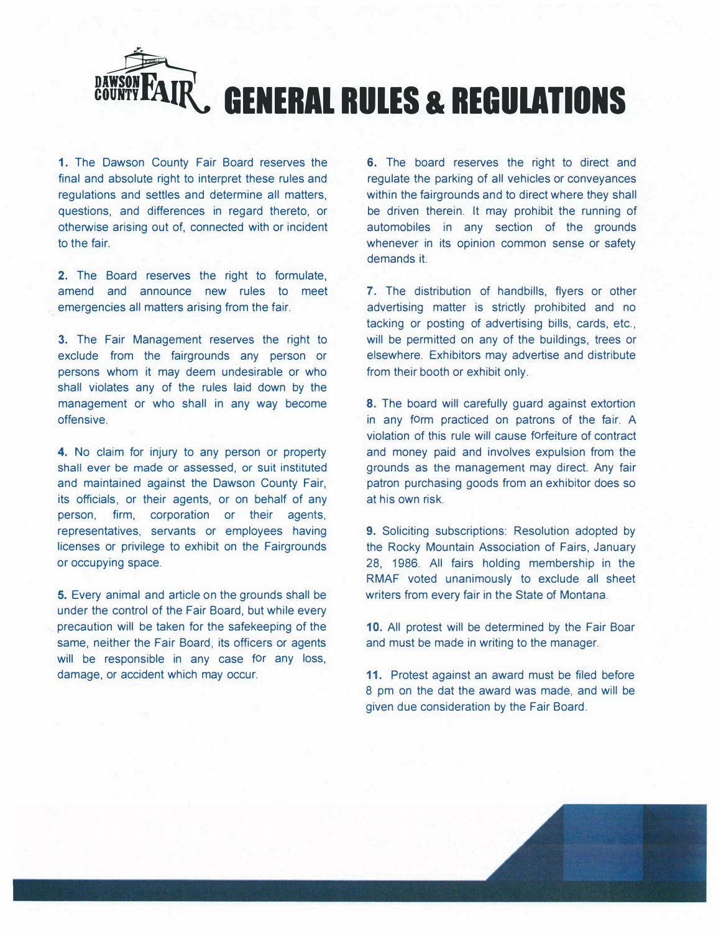

**1.** The Dawson County Fair Board reserves the final and absolute right to interpret these rules and regulations and settles and determine all matters, questions, and differences in regard thereto, or otherwise arising out of, connected with or incident to the fair.

**2.** The Board reserves the right to formulate, amend and announce new rules to meet emergencies all matters arising from the fair.

3. The Fair Management reserves the right to exclude from the fairgrounds any person or persons whom it may deem undesirable or who shall violates any of the rules laid down by the management or who shall in any way become offensive.

4. No claim for injury to any person or property shall ever be made or assessed, or suit instituted and maintained against the Dawson County Fair, its officials, or their agents, or on behalf of any person, firm, corporation or their agents, representatives, servants or employees having licenses or privilege to exhibit on the Fairgrounds or occupying space.

5. Every animal and article on the grounds shall be under the control of the Fair Board, but while every precaution will be taken for the safekeeping of the same, neither the Fair Board, its officers or agents will be responsible in any case for any loss, damage, or accident which may occur.

6. The board reserves the right to direct and regulate the parking of all vehicles or conveyances within the fairgrounds and to direct where they shall be driven therein. It may prohibit the running of automobiles in any section of the grounds whenever in its opinion common sense or safety demands it.

**7.** The distribution of handbills, flyers or other advertising matter is strictly prohibited and no tacking or posting of advertising bills, cards, etc., will be permitted on any of the buildings, trees or elsewhere. Exhibitors may advertise and distribute from their booth or exhibit only.

**8.** The board will carefully guard against extortion in any form practiced on patrons of the fair. A violation of this rule will cause forfeiture of contract and money paid and involves expulsion from the grounds as the management may direct. Any fair patron purchasing goods from an exhibitor does so at his own risk.

9. Soliciting subscriptions: Resolution adopted by the Rocky Mountain Association of Fairs, January 28, 1986. All fairs holding membership in the RMAF voted unanimously to exclude all sheet writers from every fair in the State of Montana.

**10.** All protest will be determined by the Fair Boar and must be made in writing to the manager.

**11.** Protest against an award must be filed before 8 pm on the dat the award was made, and will be given due consideration by the Fair Board.

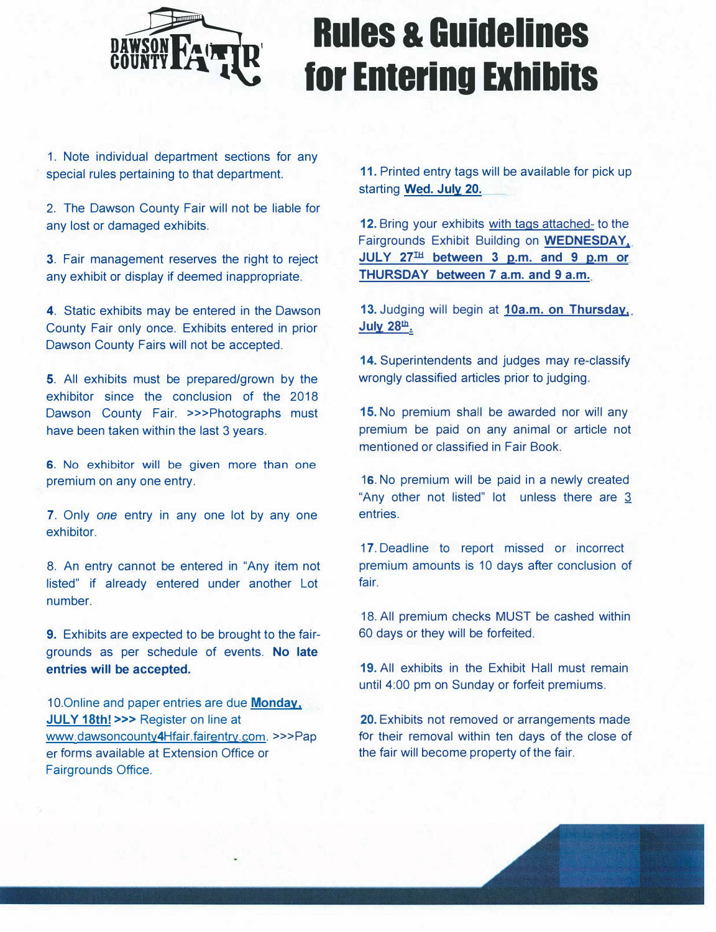

# **Rules & Guidelines tor Entering Exhibits**

1. Note individual department sections for any special rules pertaining to that department.

2. The Dawson County Fair will not be liable for any lost or damaged exhibits.

3. Fair management reserves the right to reject any exhibit or display if deemed inappropriate.

4. Static exhibits may be entered in the Dawson County Fair only once. Exhibits entered in prior Dawson County Fairs will not be accepted.

5. All exhibits must be prepared/grown by the exhibitor since the conclusion of the 2018 Dawson County Fair. >>>Photographs must have been taken within the last 3 years.

6. No exhibitor will be given more than one premium on any one entry.

7. Only *one* entry in any one lot by any one exhibitor.

8. An entry cannot be entered in "Any item not listed" if already entered under another Lot number.

**9.** Exhibits are expected to be brought to the fairgrounds as per schedule of events. **No late entries will be accepted.**

10.Online and paper entries are due **Monday, JULY 18th! >>>** Register on line at www.dawsoncounty4Hfair.fairentry.com. >>>Pap er forms available at Extension Office or Fairgrounds Office.

**11.** Printed entry tags will be available for pick up starting **Wed. July 20.**

**12.** Bring your exhibits with tags attached- to the Fairgrounds Exhibit Building on **WEDNESDAY. JULY 27Il:I between 3 p.m. and 9 p.m or THURSDAY between 7 a.m. and 9 a.m.**

**13.** Judging will begin at **10a.m. on Thursday, July 28Jb:.** 

**14.** Superintendents and judges may re-classify wrongly classified articles prior to judging.

**15.** No premium shall be awarded nor will any premium be paid on any animal or article not mentioned or classified in Fair Book.

16. No premium will be paid in a newly created "Any other not listed" lot unless there are  $3$ entries.

17. Deadline to report missed or incorrect premium amounts is 10 days after conclusion of fair.

18. All premium checks MUST be cashed within 60 days or they will be forfeited.

**19.** All exhibits in the Exhibit Hall must remain until 4:00 pm on Sunday or forfeit premiums.

**20.** Exhibits not removed or arrangements made for their removal within ten days of the close of the fair will become property of the fair.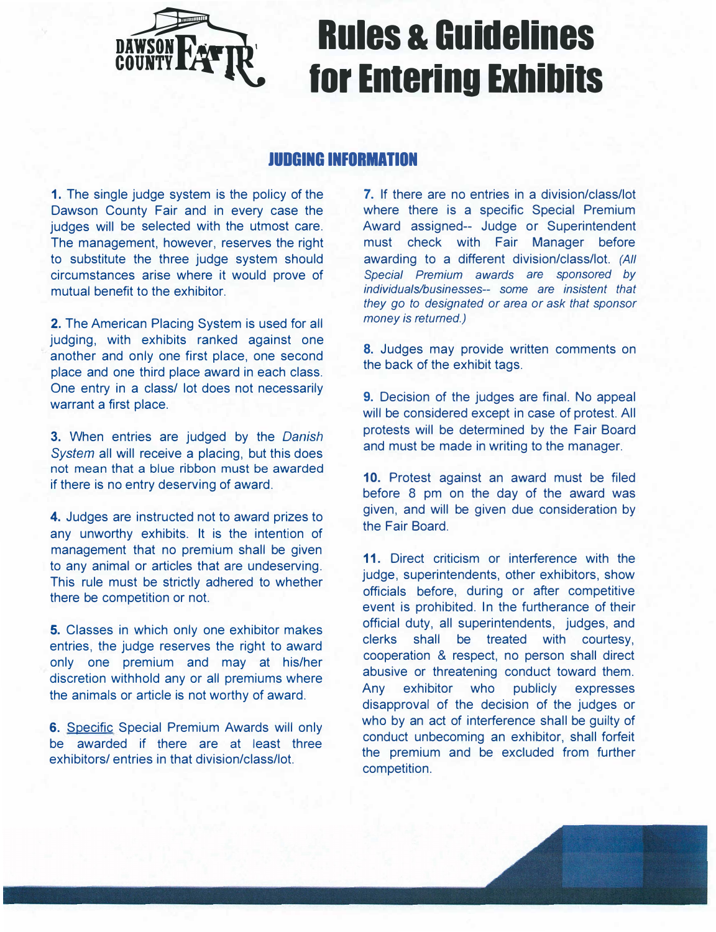

### **Rules & Guidelines tor Entering Exhibits**

#### **JUDGING INFORMATION**

**1.** The single judge system is the policy of the Dawson County Fair and in every case the judges will be selected with the utmost care. The management, however, reserves the right to substitute the three judge system should circumstances arise where it would prove of mutual benefit to the exhibitor.

**2.** The American Placing System is used for all judging, with exhibits ranked against one another and only one first place, one second place and one third place award in each class. One entry in a class/ lot does not necessarily warrant a first place.

**3.** When entries are judged by the *Danish System all will receive a placing, but this does* not mean that a blue ribbon must be awarded if there is no entry deserving of award.

**4.** Judges are instructed not to award prizes to any unworthy exhibits. It is the intention of management that no premium shall be given to any animal or articles that are undeserving. This rule must be strictly adhered to whether there be competition or not.

**5.** Classes in which only one exhibitor makes entries, the judge reserves the right to award only one premium and may at his/her discretion withhold any or all premiums where the animals or article is not worthy of award.

**6.** Specific Special Premium Awards will only be awarded if there are at least three exhibitors/ entries in that division/class/lot.

**7.** If there are no entries in a division/class/lot where there is a specific Special Premium Award assigned-- Judge or Superintendent must check with Fair Manager before awarding to a different division/class/lot. *{All Special Premium awards are sponsored by individuals/businesses-- some are insistent that they go to designated or area or ask that sponsor money is returned.)*

8. Judges may provide written comments on the back of the exhibit tags.

9. Decision of the judges are final. No appeal will be considered except in case of protest. All protests will be determined by the Fair Board and must be made in writing to the manager.

**10.** Protest against an award must be filed before 8 pm on the day of the award was given, and will be given due consideration by the Fair Board.

**11.** Direct criticism or interference with the judge, superintendents, other exhibitors, show officials before, during or after competitive event is prohibited. In the furtherance of their official duty, all superintendents, judges, and clerks shall be treated with courtesy, cooperation & respect, no person shall direct abusive or threatening conduct toward them. Any exhibitor who publicly expresses disapproval of the decision of the judges or who by an act of interference shall be quilty of conduct unbecoming an exhibitor, shall forfeit the premium and be excluded from further competition.